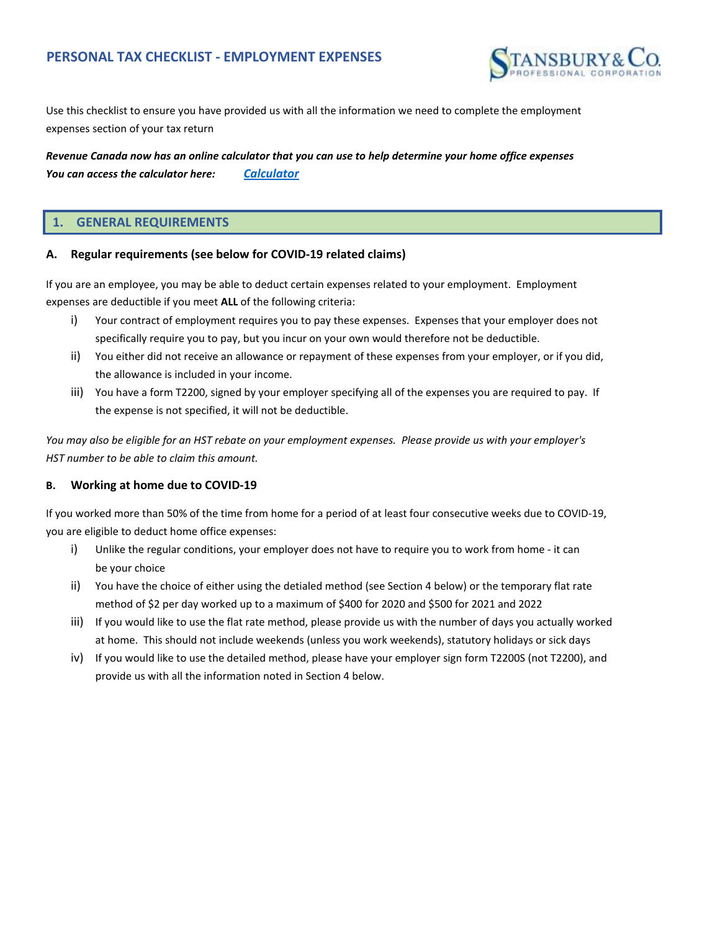

Use this checklist to ensure you have provided us with all the information we need to complete the employment expenses section of your tax return

*Calculator Revenue Canada now has an online calculator that you can use to help determine your home office expenses You can access the calculator here:*

### **1. GENERAL REQUIREMENTS**

#### **A. Regular requirements (see below for COVID-19 related claims)**

If you are an employee, you may be able to deduct certain expenses related to your employment. Employment expenses are deductible if you meet **ALL** of the following criteria:

- i) Your contract of employment requires you to pay these expenses. Expenses that your employer does not specifically require you to pay, but you incur on your own would therefore not be deductible.
- ii) You either did not receive an allowance or repayment of these expenses from your employer, or if you did, the allowance is included in your income.
- iii) You have a form T2200, signed by your employer specifying all of the expenses you are required to pay. If the expense is not specified, it will not be deductible.

*You may also be eligible for an HST rebate on your employment expenses. Please provide us with your employer's HST number to be able to claim this amount.*

## **B. Working at home due to COVID-19**

If you worked more than 50% of the time from home for a period of at least four consecutive weeks due to COVID-19, you are eligible to deduct home office expenses:

- i) Unlike the regular conditions, your employer does not have to require you to work from home it can be your choice
- ii) You have the choice of either using the detialed method (see Section 4 below) or the temporary flat rate method of \$2 per day worked up to a maximum of \$400 for 2020 and \$500 for 2021 and 2022
- iii) If you would like to use the flat rate method, please provide us with the number of days you actually worked at home. This should not include weekends (unless you work weekends), statutory holidays or sick days
- iv) If you would like to use the detailed method, please have your employer sign form T2200S (not T2200), and provide us with all the information noted in Section 4 below.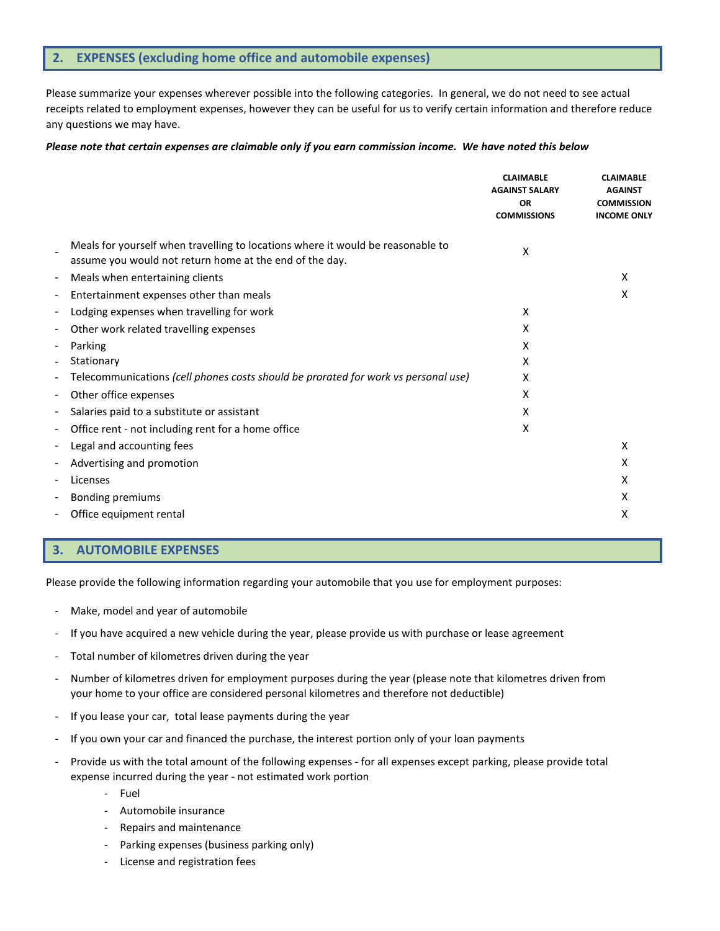# **2. EXPENSES (excluding home office and automobile expenses)**

Please summarize your expenses wherever possible into the following categories. In general, we do not need to see actual receipts related to employment expenses, however they can be useful for us to verify certain information and therefore reduce any questions we may have.

#### *Please note that certain expenses are claimable only if you earn commission income. We have noted this below*

|                          |                                                                                                                                            | <b>CLAIMABLE</b><br><b>AGAINST SALARY</b><br><b>OR</b><br><b>COMMISSIONS</b> | <b>CLAIMABLE</b><br><b>AGAINST</b><br><b>COMMISSION</b><br><b>INCOME ONLY</b> |
|--------------------------|--------------------------------------------------------------------------------------------------------------------------------------------|------------------------------------------------------------------------------|-------------------------------------------------------------------------------|
|                          | Meals for yourself when travelling to locations where it would be reasonable to<br>assume you would not return home at the end of the day. | Χ                                                                            |                                                                               |
| $\overline{\phantom{a}}$ | Meals when entertaining clients                                                                                                            |                                                                              | X                                                                             |
| ۰                        | Entertainment expenses other than meals                                                                                                    |                                                                              | х                                                                             |
| $\overline{\phantom{a}}$ | Lodging expenses when travelling for work                                                                                                  | X                                                                            |                                                                               |
| -                        | Other work related travelling expenses                                                                                                     | x                                                                            |                                                                               |
| $\overline{\phantom{a}}$ | Parking                                                                                                                                    | x                                                                            |                                                                               |
|                          | Stationary                                                                                                                                 | x                                                                            |                                                                               |
| $\overline{\phantom{a}}$ | Telecommunications (cell phones costs should be prorated for work vs personal use)                                                         | X                                                                            |                                                                               |
| $\overline{\phantom{a}}$ | Other office expenses                                                                                                                      | X                                                                            |                                                                               |
| $\overline{\phantom{a}}$ | Salaries paid to a substitute or assistant                                                                                                 | X                                                                            |                                                                               |
|                          | Office rent - not including rent for a home office                                                                                         | x                                                                            |                                                                               |
| $\overline{\phantom{a}}$ | Legal and accounting fees                                                                                                                  |                                                                              | x                                                                             |
|                          | Advertising and promotion                                                                                                                  |                                                                              | х                                                                             |
| $\overline{\phantom{a}}$ | Licenses                                                                                                                                   |                                                                              | х                                                                             |
| -                        | <b>Bonding premiums</b>                                                                                                                    |                                                                              | х                                                                             |
|                          | Office equipment rental                                                                                                                    |                                                                              | х                                                                             |
|                          |                                                                                                                                            |                                                                              |                                                                               |

## **3. AUTOMOBILE EXPENSES**

Please provide the following information regarding your automobile that you use for employment purposes:

- Make, model and year of automobile
- If you have acquired a new vehicle during the year, please provide us with purchase or lease agreement
- Total number of kilometres driven during the year
- Number of kilometres driven for employment purposes during the year (please note that kilometres driven from your home to your office are considered personal kilometres and therefore not deductible)
- If you lease your car, total lease payments during the year
- If you own your car and financed the purchase, the interest portion only of your loan payments
- Provide us with the total amount of the following expenses for all expenses except parking, please provide total expense incurred during the year - not estimated work portion
	- Fuel
	- Automobile insurance
	- Repairs and maintenance
	- Parking expenses (business parking only)
	- License and registration fees